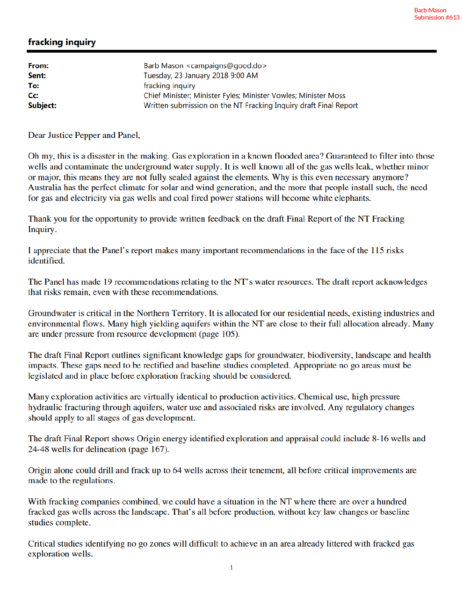## fracking inquiry

| From:    | Barb Mason <campaigns@good.do></campaigns@good.do>               |
|----------|------------------------------------------------------------------|
| Sent:    | Tuesday, 23 January 2018 9:00 AM                                 |
| To:      | fracking inquiry                                                 |
| Cc:      | Chief Minister; Minister Fyles; Minister Vowles; Minister Moss   |
| Subject: | Written submission on the NT Fracking Inquiry draft Final Report |

Dear Justice Pepper and Panel,

Oh my, this is a disaster in the making. Gas exploration in a known flooded area? Guaranteed to filter into those wells and contaminate the underground water supply. It is well known all of the gas wells leak, whether minor or major, this means they are not fully sealed against the elements. Why is this even necessary anymore? Australia has the perfect climate for solar and wind generation, and the more that people install such, the need for gas and electricity via gas wells and coal fired power stations will become white elephants.

Thank you for the opportunity to provide written feedback on the draft Final Report of the NT Fracking Inquiry.

I appreciate that the Panel's report makes many important recommendations in the face of the 115 risks identified.

The Panel has made 19 recommendations relating to the NT's water resources. The draft report acknowledges that risks remain, even with these recommendations.

Groundwater is critical in the Northern Territory. It is allocated for our residential needs, existing industries and environmental flows. Many high yielding aquifers within the NT are close to their full allocation already. Many are under pressure from resource development (page 105).

The draft Final Report outlines significant knowledge gaps for groundwater, biodiversity, landscape and health impacts. These gaps need to be rectified and baseline studies completed. Appropriate no go areas must be legislated and in place before exploration fracking should be considered.

Many exploration activities are virtually identical to production activities. Chemical use, high pressure hydraulic fracturing through aquifers, water use and associated risks are involved. Any regulatory changes should apply to all stages of gas development.

The draft Final Report shows Origin energy identified exploration and appraisal could include 8-16 wells and 24-48 wells for delineation (page 167).

Origin alone could drill and frack up to 64 wells across their tenement, all before critical improvements are made to the regulations.

With fracking companies combined, we could have a situation in the NT where there are over a hundred fracked gas wells across the landscape. That's all before production, without key law changes or baseline studies complete.

Critical studies identifying no go zones will difficult to achieve in an area already littered with fracked gas exploration wells.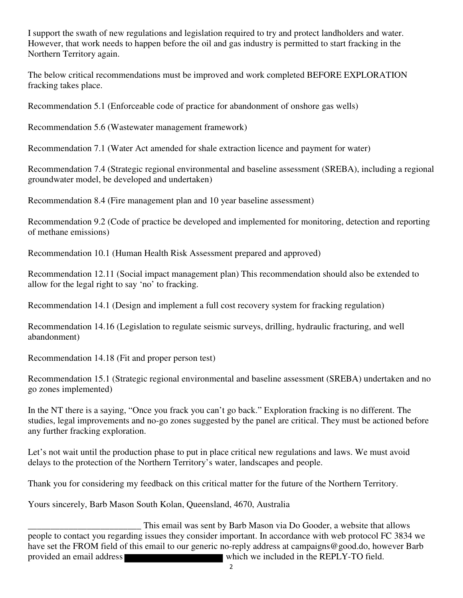I support the swath of new regulations and legislation required to try and protect landholders and water. However, that work needs to happen before the oil and gas industry is permitted to start fracking in the Northern Territory again.

The below critical recommendations must be improved and work completed BEFORE EXPLORATION fracking takes place.

Recommendation 5.1 (Enforceable code of practice for abandonment of onshore gas wells)

Recommendation 5.6 (Wastewater management framework)

Recommendation 7.1 (Water Act amended for shale extraction licence and payment for water)

Recommendation 7.4 (Strategic regional environmental and baseline assessment (SREBA), including a regional groundwater model, be developed and undertaken)

Recommendation 8.4 (Fire management plan and 10 year baseline assessment)

Recommendation 9.2 (Code of practice be developed and implemented for monitoring, detection and reporting of methane emissions)

Recommendation 10.1 (Human Health Risk Assessment prepared and approved)

Recommendation 12.11 (Social impact management plan) This recommendation should also be extended to allow for the legal right to say 'no' to fracking.

Recommendation 14.1 (Design and implement a full cost recovery system for fracking regulation)

Recommendation 14.16 (Legislation to regulate seismic surveys, drilling, hydraulic fracturing, and well abandonment)

Recommendation 14.18 (Fit and proper person test)

Recommendation 15.1 (Strategic regional environmental and baseline assessment (SREBA) undertaken and no go zones implemented)

In the NT there is a saying, "Once you frack you can't go back." Exploration fracking is no different. The studies, legal improvements and no-go zones suggested by the panel are critical. They must be actioned before any further fracking exploration.

Let's not wait until the production phase to put in place critical new regulations and laws. We must avoid delays to the protection of the Northern Territory's water, landscapes and people.

Thank you for considering my feedback on this critical matter for the future of the Northern Territory.

Yours sincerely, Barb Mason South Kolan, Queensland, 4670, Australia

This email was sent by Barb Mason via Do Gooder, a website that allows<br>people to contact you regarding issues they consider important. In accordance with web protocol FC 3834 we have set the FROM field of this email to our generic no-reply address at campaigns@good.do, however Barb provided an email address which we included in the REPLY-TO field.